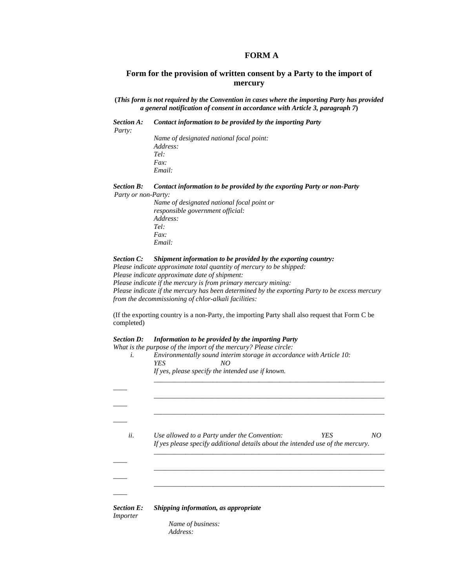## **FORM A**

## **Form for the provision of written consent by a Party to the import of mercury**

**(***This form is not required by the Convention in cases where the importing Party has provided a general notification of consent in accordance with Article 3, paragraph 7***)** 

*Section A: Contact information to be provided by the importing Party Party:* 

*Name of designated national focal point: Address: Tel: Fax: Email:* 

*Section B: Contact information to be provided by the exporting Party or non-Party Party or non-Party:* 

> *Name of designated national focal point or responsible government official: Address: Tel: Fax: Email:*

### *Section C: Shipment information to be provided by the exporting country:*

*Please indicate approximate total quantity of mercury to be shipped:* 

*Please indicate approximate date of shipment:* 

*Please indicate if the mercury is from primary mercury mining:* 

*Please indicate if the mercury has been determined by the exporting Party to be excess mercury from the decommissioning of chlor-alkali facilities:* 

(If the exporting country is a non-Party, the importing Party shall also request that Form C be completed)

### *Section D: Information to be provided by the importing Party*

*What is the purpose of the import of the mercury? Please circle:* 

| If yes, please specify the intended use if known.                                                                                            |  |  |
|----------------------------------------------------------------------------------------------------------------------------------------------|--|--|
|                                                                                                                                              |  |  |
|                                                                                                                                              |  |  |
|                                                                                                                                              |  |  |
| YES<br>Use allowed to a Party under the Convention:<br>NO<br>If yes please specify additional details about the intended use of the mercury. |  |  |
|                                                                                                                                              |  |  |
|                                                                                                                                              |  |  |
| Shipping information, as appropriate                                                                                                         |  |  |
|                                                                                                                                              |  |  |

 *Name of business: Address:*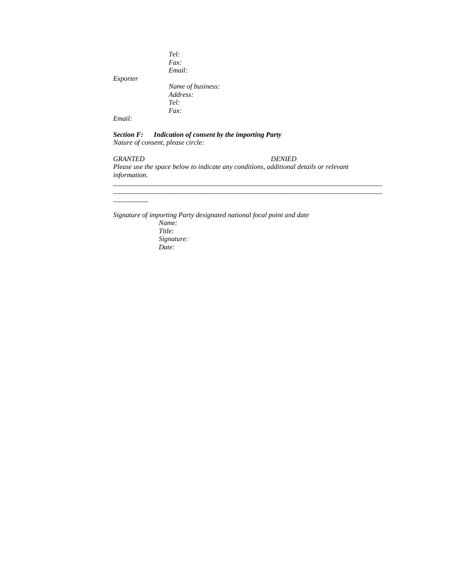|          | Tel:              |
|----------|-------------------|
|          | Fax               |
|          | Email:            |
| Exporter |                   |
|          | Name of business: |
|          | Address:          |
|          | Tel:              |
|          | Fax               |
| Email:   |                   |

*Section F: Indication of consent by the importing Party Nature of consent, please circle:* 

## *GRANTED DENIED*

*\_\_\_\_\_\_\_\_\_\_* 

*Please use the space below to indicate any conditions, additional details or relevant information.* 

*\_\_\_\_\_\_\_\_\_\_\_\_\_\_\_\_\_\_\_\_\_\_\_\_\_\_\_\_\_\_\_\_\_\_\_\_\_\_\_\_\_\_\_\_\_\_\_\_\_\_\_\_\_\_\_\_\_\_\_\_\_\_\_\_\_\_\_\_\_\_\_\_\_\_\_\_\_ \_\_\_\_\_\_\_\_\_\_\_\_\_\_\_\_\_\_\_\_\_\_\_\_\_\_\_\_\_\_\_\_\_\_\_\_\_\_\_\_\_\_\_\_\_\_\_\_\_\_\_\_\_\_\_\_\_\_\_\_\_\_\_\_\_\_\_\_\_\_\_\_\_\_\_\_\_*

*Signature of importing Party designated national focal point and date* 

*Name: Title: Signature: Date:*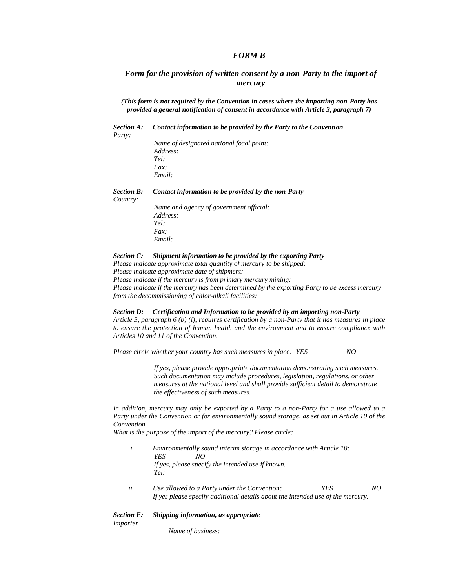## *FORM B*

## *Form for the provision of written consent by a non-Party to the import of mercury*

*(This form is not required by the Convention in cases where the importing non-Party has provided a general notification of consent in accordance with Article 3, paragraph 7)* 

*Section A: Contact information to be provided by the Party to the Convention* 

*Party:* 

*Name of designated national focal point: Address: Tel: Fax: Email:* 

*Section B: Contact information to be provided by the non-Party Country: Name and agency of government official: Address: Tel: Fax: Email:* 

### *Section C: Shipment information to be provided by the exporting Party*

*Please indicate approximate total quantity of mercury to be shipped: Please indicate approximate date of shipment: Please indicate if the mercury is from primary mercury mining: Please indicate if the mercury has been determined by the exporting Party to be excess mercury from the decommissioning of chlor-alkali facilities:* 

### *Section D: Certification and Information to be provided by an importing non-Party*

*Article 3, paragraph 6 (b) (i), requires certification by a non-Party that it has measures in place to ensure the protection of human health and the environment and to ensure compliance with Articles 10 and 11 of the Convention.* 

*Please circle whether your country has such measures in place. YES NO* 

*If yes, please provide appropriate documentation demonstrating such measures. Such documentation may include procedures, legislation, regulations, or other measures at the national level and shall provide sufficient detail to demonstrate the effectiveness of such measures.* 

*In addition, mercury may only be exported by a Party to a non-Party for a use allowed to a Party under the Convention or for environmentally sound storage, as set out in Article 10 of the Convention.* 

*What is the purpose of the import of the mercury? Please circle:* 

- *i. Environmentally sound interim storage in accordance with Article 10: YES NO If yes, please specify the intended use if known. Tel:*
- *ii. Use allowed to a Party under the Convention: YES NO If yes please specify additional details about the intended use of the mercury.*

### *Section E: Shipping information, as appropriate*

*Importer* 

 *Name of business:*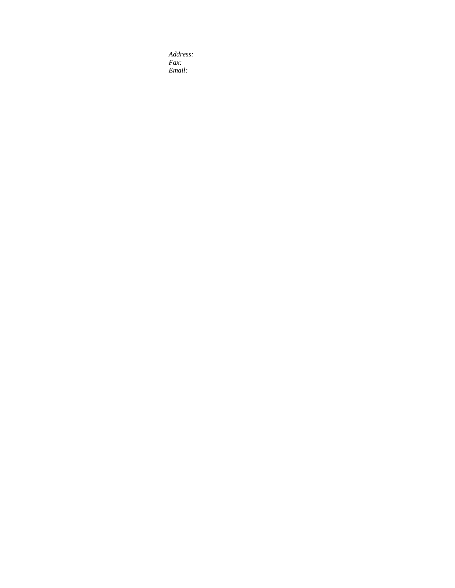*Address: Fax: Email:*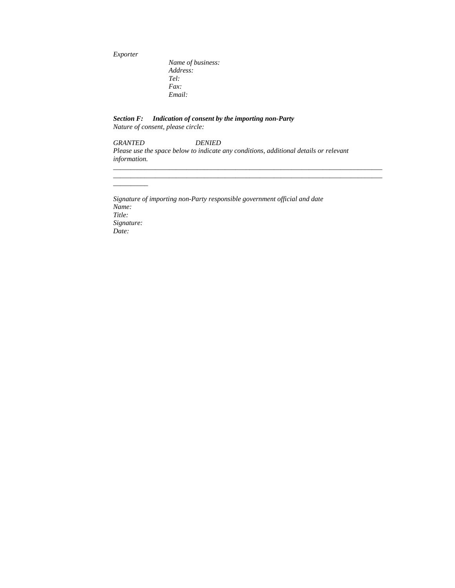*Exporter* 

*\_\_\_\_\_\_\_\_\_\_* 

 *Name of business: Address: Tel: Fax: Email:* 

*Section F: Indication of consent by the importing non-Party Nature of consent, please circle:* 

## *GRANTED DENIED Please use the space below to indicate any conditions, additional details or relevant information.*

*\_\_\_\_\_\_\_\_\_\_\_\_\_\_\_\_\_\_\_\_\_\_\_\_\_\_\_\_\_\_\_\_\_\_\_\_\_\_\_\_\_\_\_\_\_\_\_\_\_\_\_\_\_\_\_\_\_\_\_\_\_\_\_\_\_\_\_\_\_\_\_\_\_\_\_\_\_ \_\_\_\_\_\_\_\_\_\_\_\_\_\_\_\_\_\_\_\_\_\_\_\_\_\_\_\_\_\_\_\_\_\_\_\_\_\_\_\_\_\_\_\_\_\_\_\_\_\_\_\_\_\_\_\_\_\_\_\_\_\_\_\_\_\_\_\_\_\_\_\_\_\_\_\_\_*

*Signature of importing non-Party responsible government official and date Name: Title: Signature: Date:*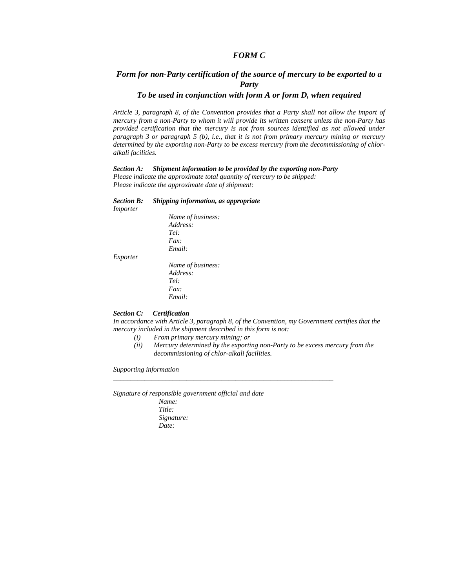## *FORM C*

## *Form for non-Party certification of the source of mercury to be exported to a Party*

## *To be used in conjunction with form A or form D, when required*

*Article 3, paragraph 8, of the Convention provides that a Party shall not allow the import of mercury from a non-Party to whom it will provide its written consent unless the non-Party has provided certification that the mercury is not from sources identified as not allowed under paragraph 3 or paragraph 5 (b), i.e., that it is not from primary mercury mining or mercury determined by the exporting non-Party to be excess mercury from the decommissioning of chloralkali facilities.* 

### *Section A: Shipment information to be provided by the exporting non-Party*

*Please indicate the approximate total quantity of mercury to be shipped: Please indicate the approximate date of shipment:* 

### *Section B: Shipping information, as appropriate*

*Importer Name of business: Address: Tel: Fax: Email: Exporter* 

 *Name of business: Address: Tel: Fax: Email:* 

### *Section C: Certification*

*In accordance with Article 3, paragraph 8, of the Convention, my Government certifies that the mercury included in the shipment described in this form is not:* 

*\_\_\_\_\_\_\_\_\_\_\_\_\_\_\_\_\_\_\_\_\_\_\_\_\_\_\_\_\_\_\_\_\_\_\_\_\_\_\_\_\_\_\_\_\_\_\_\_\_\_\_\_\_\_\_\_\_\_\_\_\_\_\_* 

- *(i) From primary mercury mining; or*
- *(ii) Mercury determined by the exporting non-Party to be excess mercury from the decommissioning of chlor-alkali facilities.*

*Supporting information* 

*Signature of responsible government official and date*

*Name: Title: Signature: Date:*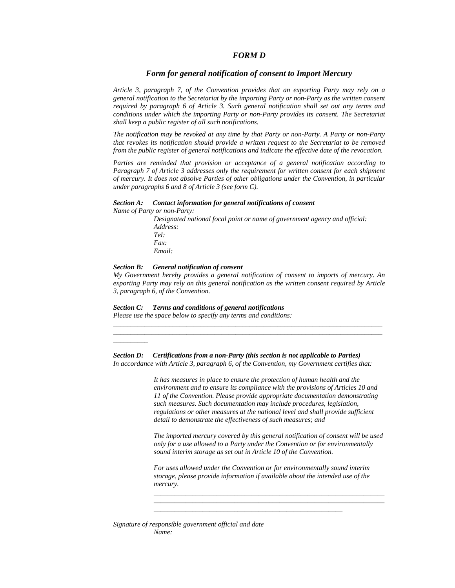## *FORM D*

## *Form for general notification of consent to Import Mercury*

*Article 3, paragraph 7, of the Convention provides that an exporting Party may rely on a general notification to the Secretariat by the importing Party or non-Party as the written consent required by paragraph 6 of Article 3. Such general notification shall set out any terms and conditions under which the importing Party or non-Party provides its consent. The Secretariat shall keep a public register of all such notifications.* 

*The notification may be revoked at any time by that Party or non-Party. A Party or non-Party that revokes its notification should provide a written request to the Secretariat to be removed from the public register of general notifications and indicate the effective date of the revocation.* 

*Parties are reminded that provision or acceptance of a general notification according to Paragraph 7 of Article 3 addresses only the requirement for written consent for each shipment of mercury. It does not absolve Parties of other obligations under the Convention, in particular under paragraphs 6 and 8 of Article 3 (see form C).* 

### *Section A: Contact information for general notifications of consent*

*Name of Party or non-Party:* 

*\_\_\_\_\_\_\_\_\_\_* 

*Designated national focal point or name of government agency and official: Address: Tel: Fax: Email:* 

## *Section B: General notification of consent*

*My Government hereby provides a general notification of consent to imports of mercury. An exporting Party may rely on this general notification as the written consent required by Article 3, paragraph 6, of the Convention.* 

*\_\_\_\_\_\_\_\_\_\_\_\_\_\_\_\_\_\_\_\_\_\_\_\_\_\_\_\_\_\_\_\_\_\_\_\_\_\_\_\_\_\_\_\_\_\_\_\_\_\_\_\_\_\_\_\_\_\_\_\_\_\_\_\_\_\_\_\_\_\_\_\_\_\_\_\_\_ \_\_\_\_\_\_\_\_\_\_\_\_\_\_\_\_\_\_\_\_\_\_\_\_\_\_\_\_\_\_\_\_\_\_\_\_\_\_\_\_\_\_\_\_\_\_\_\_\_\_\_\_\_\_\_\_\_\_\_\_\_\_\_\_\_\_\_\_\_\_\_\_\_\_\_\_\_*

*Section C: Terms and conditions of general notifications* 

*Please use the space below to specify any terms and conditions:* 

*Section D: Certifications from a non-Party (this section is not applicable to Parties) In accordance with Article 3, paragraph 6, of the Convention, my Government certifies that:* 

> *It has measures in place to ensure the protection of human health and the environment and to ensure its compliance with the provisions of Articles 10 and 11 of the Convention. Please provide appropriate documentation demonstrating such measures. Such documentation may include procedures, legislation, regulations or other measures at the national level and shall provide sufficient detail to demonstrate the effectiveness of such measures; and*

*The imported mercury covered by this general notification of consent will be used only for a use allowed to a Party under the Convention or for environmentally sound interim storage as set out in Article 10 of the Convention.* 

*For uses allowed under the Convention or for environmentally sound interim storage, please provide information if available about the intended use of the mercury.* 

*\_\_\_\_\_\_\_\_\_\_\_\_\_\_\_\_\_\_\_\_\_\_\_\_\_\_\_\_\_\_\_\_\_\_\_\_\_\_\_\_\_\_\_\_\_\_\_\_\_\_\_\_\_\_* 

*\_\_\_\_\_\_\_\_\_\_\_\_\_\_\_\_\_\_\_\_\_\_\_\_\_\_\_\_\_\_\_\_\_\_\_\_\_\_\_\_\_\_\_\_\_\_\_\_\_\_\_\_\_\_\_\_\_\_\_\_\_\_\_\_\_\_ \_\_\_\_\_\_\_\_\_\_\_\_\_\_\_\_\_\_\_\_\_\_\_\_\_\_\_\_\_\_\_\_\_\_\_\_\_\_\_\_\_\_\_\_\_\_\_\_\_\_\_\_\_\_\_\_\_\_\_\_\_\_\_\_\_\_*

*Signature of responsible government official and date Name:*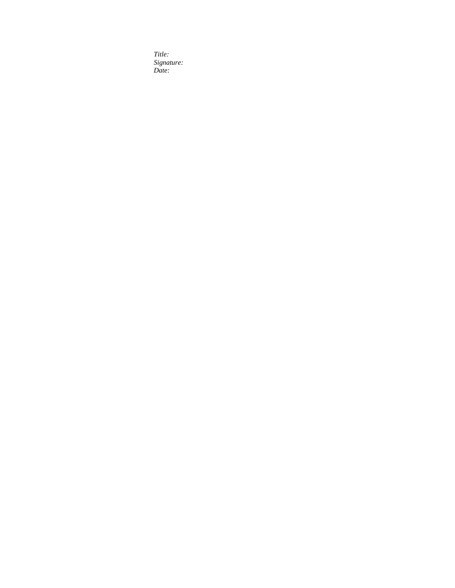*Title: Signature: Date:*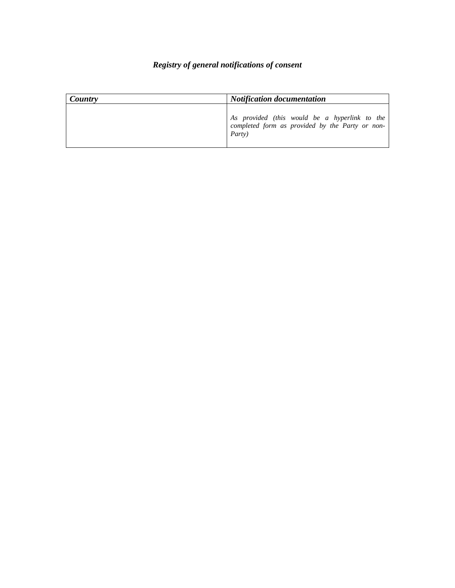# *Registry of general notifications of consent*

| Country | <b>Notification documentation</b>                                                                                  |
|---------|--------------------------------------------------------------------------------------------------------------------|
|         | As provided (this would be a hyperlink to the<br>completed form as provided by the Party or non-<br><i>Party</i> ) |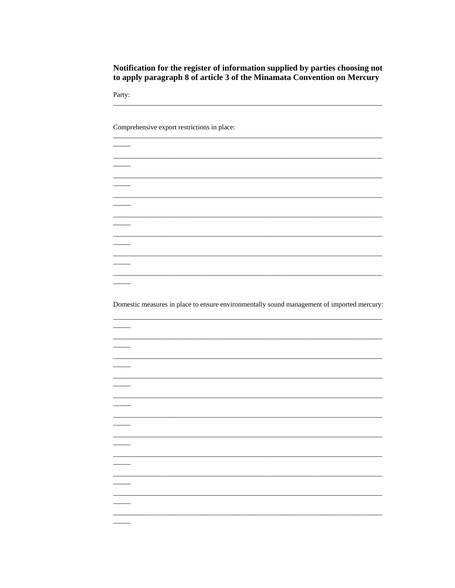Notification for the register of information supplied by parties choosing not to apply paragraph 8 of article 3 of the Minamata Convention on Mercury

Party:

 $\frac{1}{2}$ 

 $\overline{\phantom{0}}$ 

 $\frac{1}{1}$ 

 $\overline{\phantom{a}}$ 

 $\overline{\phantom{0}}$ 

 $\overline{\phantom{0}}$ 

 $\overline{\phantom{a}}$ 

 $\overline{\phantom{0}}$ 

 $\overline{\phantom{0}}$ 

 $\overline{\phantom{0}}$ 

 $\overline{\phantom{a}}$ 

 $\overline{\phantom{a}}$ 

Comprehensive export restrictions in place:

Domestic measures in place to ensure environmentally sound management of imported mercury: